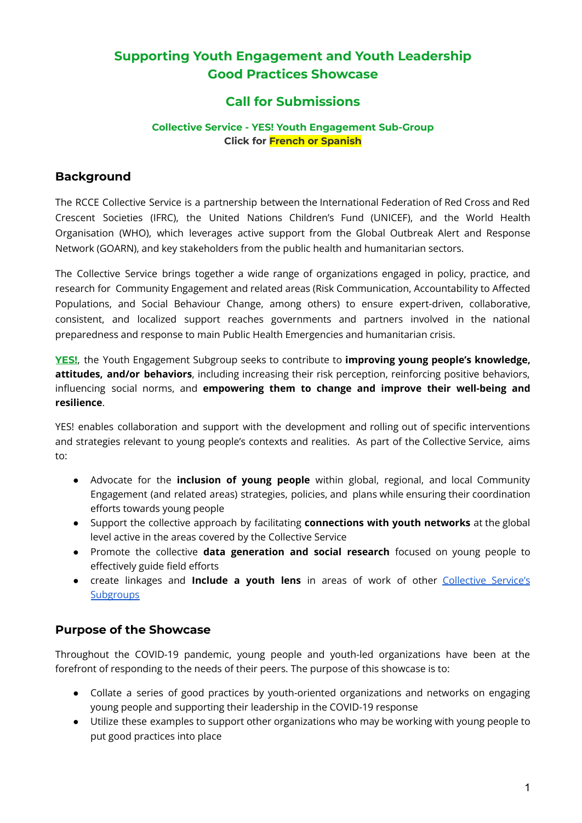# **Supporting Youth Engagement and Youth Leadership Good Practices Showcase**

# **Call for Submissions**

#### **Collective Service - YES! Youth Engagement Sub-Group Click for French or Spanish**

## **Background**

The RCCE Collective Service is a partnership between the International Federation of Red Cross and Red Crescent Societies (IFRC), the United Nations Children's Fund (UNICEF), and the World Health Organisation (WHO), which leverages active support from the Global Outbreak Alert and Response Network (GOARN), and key stakeholders from the public health and humanitarian sectors.

The Collective Service brings together a wide range of organizations engaged in policy, practice, and research for Community Engagement and related areas (Risk Communication, Accountability to Affected Populations, and Social Behaviour Change, among others) to ensure expert-driven, collaborative, consistent, and localized support reaches governments and partners involved in the national preparedness and response to main Public Health Emergencies and humanitarian crisis.

**[YES!](https://www.rcce-collective.net/subgroups/rcce-and-youth-engagement/)**, the Youth Engagement Subgroup seeks to contribute to **improving young people's knowledge, attitudes, and/or behaviors**, including increasing their risk perception, reinforcing positive behaviors, influencing social norms, and **empowering them to change and improve their well-being and resilience**.

YES! enables collaboration and support with the development and rolling out of specific interventions and strategies relevant to young people's contexts and realities. As part of the Collective Service, aims to:

- Advocate for the **inclusion of young people** within global, regional, and local Community Engagement (and related areas) strategies, policies, and plans while ensuring their coordination efforts towards young people
- Support the collective approach by facilitating **connections with youth networks** at the global level active in the areas covered by the Collective Service
- Promote the collective **data generation and social research** focused on young people to effectively guide field efforts
- create linkages and **Include a youth lens** in areas of work of other [Collective](https://www.rcce-collective.net/subgroups/) Service's **[Subgroups](https://www.rcce-collective.net/subgroups/)**

## **Purpose of the Showcase**

Throughout the COVID-19 pandemic, young people and youth-led organizations have been at the forefront of responding to the needs of their peers. The purpose of this showcase is to:

- Collate a series of good practices by youth-oriented organizations and networks on engaging young people and supporting their leadership in the COVID-19 response
- Utilize these examples to support other organizations who may be working with young people to put good practices into place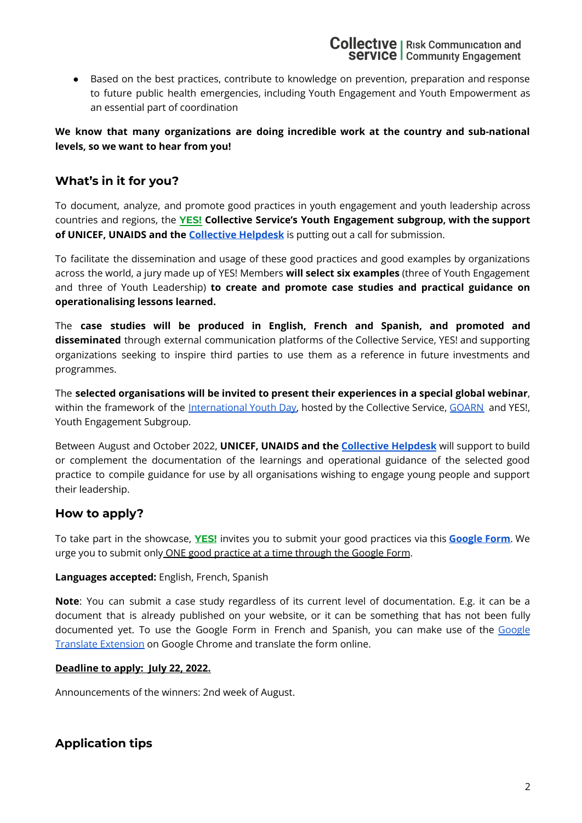● Based on the best practices, contribute to knowledge on prevention, preparation and response to future public health emergencies, including Youth Engagement and Youth Empowerment as an essential part of coordination

### **We know that many organizations are doing incredible work at the country and sub-national levels, so we want to hear from you!**

## **What's in it for you?**

To document, analyze, and promote good practices in youth engagement and youth leadership across countries and regions, the **[YES!](https://www.rcce-collective.net/subgroups/rcce-and-youth-engagement/) Collective Service's Youth Engagement subgroup, with the support of UNICEF, UNAIDS and the [Collective](https://www.rcce-collective.net/collective-helpdesk/) Helpdesk** is putting out a call for submission.

To facilitate the dissemination and usage of these good practices and good examples by organizations across the world, a jury made up of YES! Members **will select six examples** (three of Youth Engagement and three of Youth Leadership) **to create and promote case studies and practical guidance on operationalising lessons learned.**

The **case studies will be produced in English, French and Spanish, and promoted and disseminated** through external communication platforms of the Collective Service, YES! and supporting organizations seeking to inspire third parties to use them as a reference in future investments and programmes.

The **selected organisations will be invited to present their experiences in a special global webinar**, within the framework of the [International](https://www.un.org/en/observances/youth-day) Youth Day, hosted by the Collective Service, [GOARN](https://extranet.who.int/goarn/) and YES!, Youth Engagement Subgroup.

Between August and October 2022, **UNICEF, UNAIDS and the [Collective](https://www.rcce-collective.net/collective-helpdesk/) Helpdesk** will support to build or complement the documentation of the learnings and operational guidance of the selected good practice to compile guidance for use by all organisations wishing to engage young people and support their leadership.

## **How to apply?**

To take part in the showcase, **[YES!](https://www.rcce-collective.net/subgroups/rcce-and-youth-engagement/)** invites you to submit your good practices via this **[Google](https://forms.gle/SdpQWZHpDN4HFM8c6) Form**. We urge you to submit only ONE good practice at a time through the Google Form.

### **Languages accepted:** English, French, Spanish

**Note**: You can submit a case study regardless of its current level of documentation. E.g. it can be a document that is already published on your website, or it can be something that has not been fully documented yet. To use the Google Form in French and Spanish, you can make use of the [Google](https://chrome.google.com/webstore/detail/google-translate/aapbdbdomjkkjkaonfhkkikfgjllcleb?hl=en) Translate [Extension](https://chrome.google.com/webstore/detail/google-translate/aapbdbdomjkkjkaonfhkkikfgjllcleb?hl=en) on Google Chrome and translate the form online.

### **Deadline to apply: July 22, 2022.**

Announcements of the winners: 2nd week of August.

# **Application tips**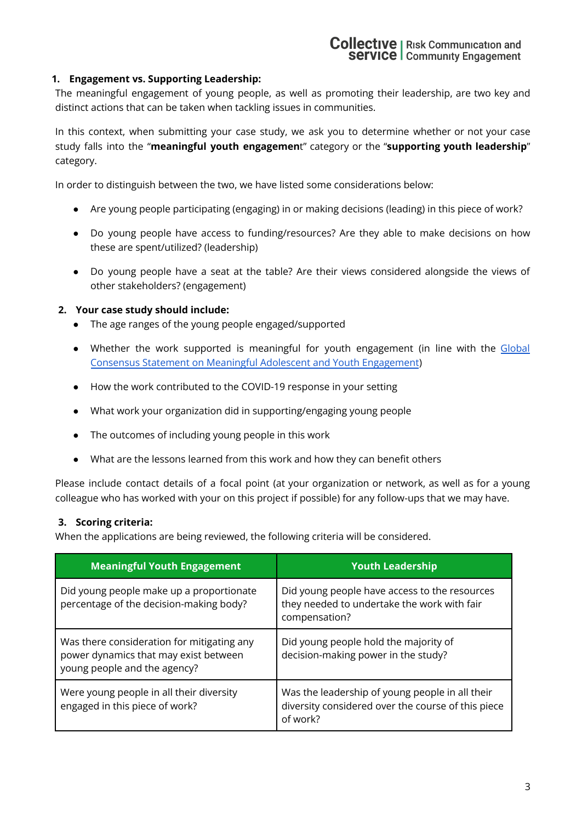#### **1. Engagement vs. Supporting Leadership:**

The meaningful engagement of young people, as well as promoting their leadership, are two key and distinct actions that can be taken when tackling issues in communities.

In this context, when submitting your case study, we ask you to determine whether or not your case study falls into the "**meaningful youth engagemen**t" category or the "**supporting youth leadership**" category.

In order to distinguish between the two, we have listed some considerations below:

- Are young people participating (engaging) in or making decisions (leading) in this piece of work?
- Do young people have access to funding/resources? Are they able to make decisions on how these are spent/utilized? (leadership)
- Do young people have a seat at the table? Are their views considered alongside the views of other stakeholders? (engagement)

#### **2. Your case study should include:**

- The age ranges of the young people engaged/supported
- Whether the work supported is meaningful for youth engagement (in line with the [Global](https://pmnch.who.int/resources/publications/m/item/global-consensus-statement-on-meaningful-adolescent-and-youth-engagement) Consensus Statement on Meaningful Adolescent and Youth [Engagement](https://pmnch.who.int/resources/publications/m/item/global-consensus-statement-on-meaningful-adolescent-and-youth-engagement))
- How the work contributed to the COVID-19 response in your setting
- What work your organization did in supporting/engaging young people
- The outcomes of including young people in this work
- What are the lessons learned from this work and how they can benefit others

Please include contact details of a focal point (at your organization or network, as well as for a young colleague who has worked with your on this project if possible) for any follow-ups that we may have.

#### **3. Scoring criteria:**

When the applications are being reviewed, the following criteria will be considered.

| <b>Meaningful Youth Engagement</b>                                                                                  | <b>Youth Leadership</b>                                                                                           |
|---------------------------------------------------------------------------------------------------------------------|-------------------------------------------------------------------------------------------------------------------|
| Did young people make up a proportionate<br>percentage of the decision-making body?                                 | Did young people have access to the resources<br>they needed to undertake the work with fair<br>compensation?     |
| Was there consideration for mitigating any<br>power dynamics that may exist between<br>young people and the agency? | Did young people hold the majority of<br>decision-making power in the study?                                      |
| Were young people in all their diversity<br>engaged in this piece of work?                                          | Was the leadership of young people in all their<br>diversity considered over the course of this piece<br>of work? |